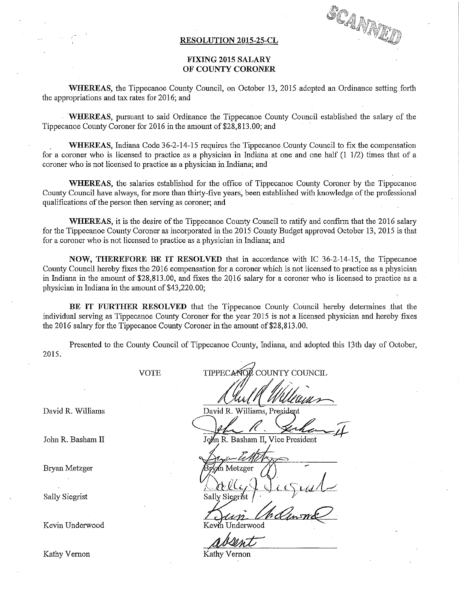## R\_ESOLUTION 2015—25-CL

SCAMMED

## FIXING 2015 SALARY OF COUNTY CORONER

WHEREAS, the Tippecanoe County Council, on October 13, 2015 adopted an Ordinance setting forth the appropriations and tax rates for 2016; and

. 'WEEREAS, pursuant to said Ordinance the Tippecanoe County Council established the salary of the Tippecanoe County Coroner for 2016 in the amount of \$28,813.00; and

WHEREAS, Indiana Code 36-2-14-15 requires the Tippecanoe County Council to fix the compensation for <sup>a</sup> coroner who is licensed to practice as a physician in Indiana at one and one half (1 1/2) times that of a coroner who is not licensed to practice as a physician in Indiana; and

WHEREAS, the salaries established for the office of Tippecanoe County Coroner by the Tippecanoe County Council have always, for more than thirty-five years, been established with knowledge of the professional qualifications of the person then serving as coroner; and \_

WHEREAS, it is the desire of the Tippecanoe County Council to ratify and confirm that the 2016 salary for the Tippecanoe County Coroner as incorporated in the 2015 County Budget approved October 13, 2015 is that for a coroner who is not licensed to practice as a physician in Indiana; and

NOW, THEREFORE BE IT RESOLVED that in accordance with IC 36-2-14—15, the Tippecanoe County Council hereby fixes the 2016 compensation for a coroner which is not licensed to practice as a physician in Indiana in the amount of \$28,813.00, and fixes the 2016 salary for <sup>a</sup> coroner who is licensed to practice as a physician in Indiana in the amount of \$43,220.00;

BE IT FURTHER RESOLVED that the Tippecanoe County Council hereby determines that the individual serving as Tippecanoe County Coroner for the year 2015 is not a licensed physician and hereby fixes the 2016 salary for the Tippecanoe County Coroner in the amount of \$28,813.00.

Presented to the County Council of Tippecanoe County, Indiana, and adopted this 13th day of October, 2015.

VOTE

David R. Williams

Sally Siegrist

Kevin Underwood Kevin Underwood

COUNTY COUNCIL **TIPPECAK** 

David R. Williams, President Jehr R. Ser

John R. Basham II John R. Basham II, Vice President

Bryan Metzger . \_ @wmm  $\overline{R_{\text{IV}}}/\overline{R_{\text{IV}}}/\overline{R_{\text{IV}}}/\overline{R_{\text{IV}}}/\overline{R_{\text{IV}}}/\overline{R_{\text{IV}}}/R_{\text{IV}}}$  $\sim$   $\sim$   $\sim$  $l$ lite $l$ 

Kathy Vernon Kathy Vernon